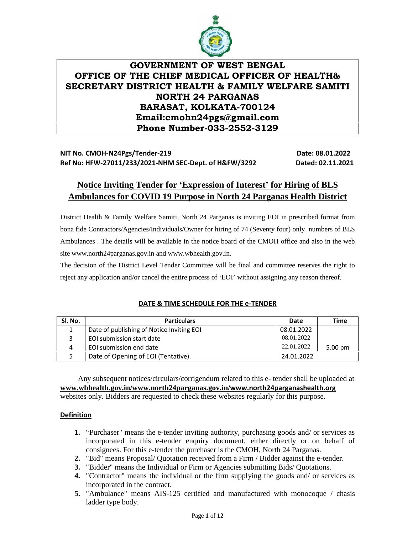

# **GOVERNMENT OF WEST BENGAL OFFICE OF THE CHIEF MEDICAL OFFICER OF HEALTH& SECRETARY DISTRICT HEALTH & FAMILY WELFARE SAMITI NORTH 24 PARGANAS BARASAT, KOLKATA-700124 Email:cmohn24pgs@gmail.com Phone Number-033-2552-3129**

## **NIT No. CMOH-N24Pgs/Tender-219 Date: 08.01.2022 Ref No: HFW-27011/233/2021-NHM SEC-Dept. of H&FW/3292 Dated: 02.11.2021**

# **Notice Inviting Tender for 'Expression of Interest' for Hiring of BLS Ambulances for COVID 19 Purpose in North 24 Parganas Health District**

District Health & Family Welfare Samiti, North 24 Parganas is inviting EOI in prescribed format from bona fide Contractors/Agencies/Individuals/Owner for hiring of 74 (Seventy four) only numbers of BLS Ambulances . The details will be available in the notice board of the CMOH office and also in the web site www.north24parganas.gov.in and www.wbhealth.gov.in.

The decision of the District Level Tender Committee will be final and committee reserves the right to reject any application and/or cancel the entire process of 'EOI' without assigning any reason thereof.

| Sl. No. | <b>Particulars</b>                        | Date       | <b>Time</b>       |
|---------|-------------------------------------------|------------|-------------------|
|         | Date of publishing of Notice Inviting EOI | 08.01.2022 |                   |
|         | EOI submission start date                 | 08.01.2022 |                   |
| 4       | EOI submission end date                   | 22.01.2022 | $5.00 \text{ pm}$ |
|         | Date of Opening of EOI (Tentative).       | 24.01.2022 |                   |

# **DATE & TIME SCHEDULE FOR THE e-TENDER**

Any subsequent notices/circulars/corrigendum related to this e- tender shall be uploaded at **www.wbhealth.gov.in/www.north24parganas.gov.in/www.north24parganashealth.org** websites only. Bidders are requested to check these websites regularly for this purpose.

# **Definition**

- **1.** "Purchaser" means the e-tender inviting authority, purchasing goods and/ or services as incorporated in this e-tender enquiry document, either directly or on behalf of consignees. For this e-tender the purchaser is the CMOH, North 24 Parganas.
- **2.** "Bid" means Proposal/ Quotation received from a Firm / Bidder against the e-tender.
- **3.** "Bidder" means the Individual or Firm or Agencies submitting Bids/ Quotations.
- **4.** "Contractor" means the individual or the firm supplying the goods and/ or services as incorporated in the contract.
- **5.** "Ambulance" means AIS-125 certified and manufactured with monocoque / chasis ladder type body.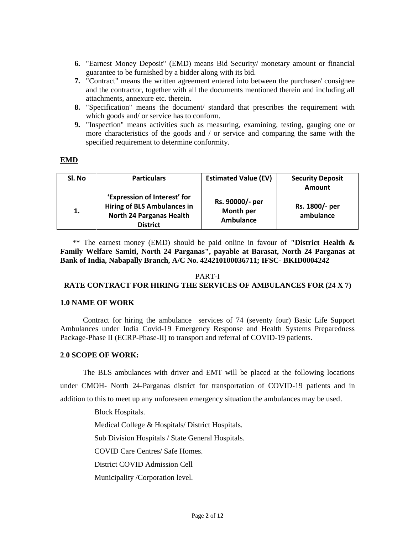- **6.** "Earnest Money Deposit" (EMD) means Bid Security/ monetary amount or financial guarantee to be furnished by a bidder along with its bid.
- **7.** "Contract" means the written agreement entered into between the purchaser/ consignee and the contractor, together with all the documents mentioned therein and including all attachments, annexure etc. therein.
- **8.** "Specification" means the document/ standard that prescribes the requirement with which goods and/ or service has to conform.
- **9.** "Inspection" means activities such as measuring, examining, testing, gauging one or more characteristics of the goods and / or service and comparing the same with the specified requirement to determine conformity.

## **EMD**

| Sl. No | <b>Particulars</b>                                                                                                       | <b>Estimated Value (EV)</b>                             | <b>Security Deposit</b><br><b>Amount</b> |
|--------|--------------------------------------------------------------------------------------------------------------------------|---------------------------------------------------------|------------------------------------------|
| 1.     | 'Expression of Interest' for<br><b>Hiring of BLS Ambulances in</b><br><b>North 24 Parganas Health</b><br><b>District</b> | Rs. 90000/- per<br><b>Month per</b><br><b>Ambulance</b> | Rs. 1800/- per<br>ambulance              |

\*\* The earnest money (EMD) should be paid online in favour of **"District Health & Family Welfare Samiti, North 24 Parganas", payable at Barasat, North 24 Parganas at Bank of India, Nabapally Branch, A/C No. 424210100036711; IFSC- BKID0004242**

#### PART-I

#### **RATE CONTRACT FOR HIRING THE SERVICES OF AMBULANCES FOR (24 X 7)**

#### **1.0 NAME OF WORK**

Contract for hiring the ambulance services of 74 (seventy four) Basic Life Support Ambulances under India Covid-19 Emergency Response and Health Systems Preparedness Package-Phase II (ECRP-Phase-II) to transport and referral of COVID-19 patients.

#### **2**.**0 SCOPE OF WORK:**

The BLS ambulances with driver and EMT will be placed at the following locations under CMOH- North 24-Parganas district for transportation of COVID-19 patients and in addition to this to meet up any unforeseen emergency situation the ambulances may be used.

Block Hospitals.

Medical College & Hospitals/ District Hospitals.

Sub Division Hospitals / State General Hospitals.

COVID Care Centres/ Safe Homes.

District COVID Admission Cell

Municipality /Corporation level.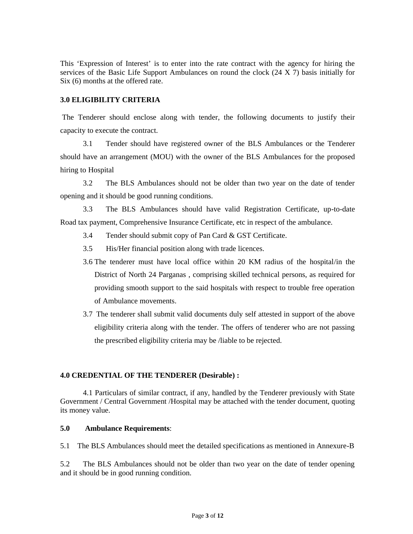This 'Expression of Interest' is to enter into the rate contract with the agency for hiring the services of the Basic Life Support Ambulances on round the clock (24 X 7) basis initially for Six  $(6)$  months at the offered rate.

## **3.0 ELIGIBILITY CRITERIA**

The Tenderer should enclose along with tender, the following documents to justify their capacity to execute the contract.

3.1 Tender should have registered owner of the BLS Ambulances or the Tenderer should have an arrangement (MOU) with the owner of the BLS Ambulances for the proposed hiring to Hospital

3.2 The BLS Ambulances should not be older than two year on the date of tender opening and it should be good running conditions.

3.3 The BLS Ambulances should have valid Registration Certificate, up-to-date Road tax payment, Comprehensive Insurance Certificate, etc in respect of the ambulance.

- 3.4 Tender should submit copy of Pan Card & GST Certificate.
- 3.5 His/Her financial position along with trade licences.
- 3.6 The tenderer must have local office within 20 KM radius of the hospital/in the District of North 24 Parganas , comprising skilled technical persons, as required for providing smooth support to the said hospitals with respect to trouble free operation of Ambulance movements.
- 3.7 The tenderer shall submit valid documents duly self attested in support of the above eligibility criteria along with the tender. The offers of tenderer who are not passing the prescribed eligibility criteria may be /liable to be rejected.

#### **4.0 CREDENTIAL OF THE TENDERER (Desirable) :**

4.1 Particulars of similar contract, if any, handled by the Tenderer previously with State Government / Central Government /Hospital may be attached with the tender document, quoting its money value.

## **5.0 Ambulance Requirements**:

5.1 The BLS Ambulances should meet the detailed specifications as mentioned in Annexure-B

5.2 The BLS Ambulances should not be older than two year on the date of tender opening and it should be in good running condition.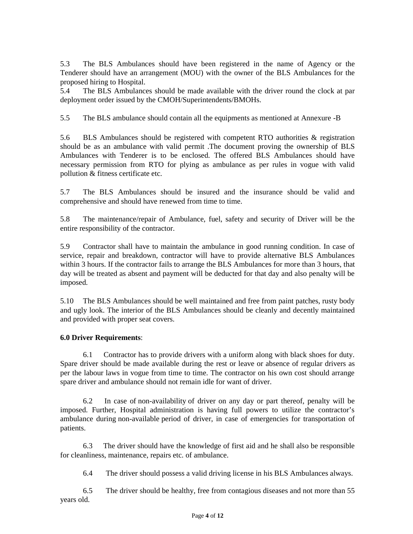5.3 The BLS Ambulances should have been registered in the name of Agency or the Tenderer should have an arrangement (MOU) with the owner of the BLS Ambulances for the proposed hiring to Hospital.

5.4 The BLS Ambulances should be made available with the driver round the clock at par deployment order issued by the CMOH/Superintendents/BMOHs.

5.5 The BLS ambulance should contain all the equipments as mentioned at Annexure -B

5.6 BLS Ambulances should be registered with competent RTO authorities & registration should be as an ambulance with valid permit .The document proving the ownership of BLS Ambulances with Tenderer is to be enclosed. The offered BLS Ambulances should have necessary permission from RTO for plying as ambulance as per rules in vogue with valid pollution & fitness certificate etc.

5.7 The BLS Ambulances should be insured and the insurance should be valid and comprehensive and should have renewed from time to time.

5.8 The maintenance/repair of Ambulance, fuel, safety and security of Driver will be the entire responsibility of the contractor.

5.9 Contractor shall have to maintain the ambulance in good running condition. In case of service, repair and breakdown, contractor will have to provide alternative BLS Ambulances within 3 hours. If the contractor fails to arrange the BLS Ambulances for more than 3 hours, that day will be treated as absent and payment will be deducted for that day and also penalty will be imposed.

5.10 The BLS Ambulances should be well maintained and free from paint patches, rusty body and ugly look. The interior of the BLS Ambulances should be cleanly and decently maintained and provided with proper seat covers.

#### **6.0 Driver Requirements**:

6.1 Contractor has to provide drivers with a uniform along with black shoes for duty. Spare driver should be made available during the rest or leave or absence of regular drivers as per the labour laws in vogue from time to time. The contractor on his own cost should arrange spare driver and ambulance should not remain idle for want of driver.

6.2 In case of non-availability of driver on any day or part thereof, penalty will be imposed. Further, Hospital administration is having full powers to utilize the contractor's ambulance during non-available period of driver, in case of emergencies for transportation of patients.

6.3 The driver should have the knowledge of first aid and he shall also be responsible for cleanliness, maintenance, repairs etc. of ambulance.

6.4 The driver should possess a valid driving license in his BLS Ambulances always.

6.5 The driver should be healthy, free from contagious diseases and not more than 55 years old.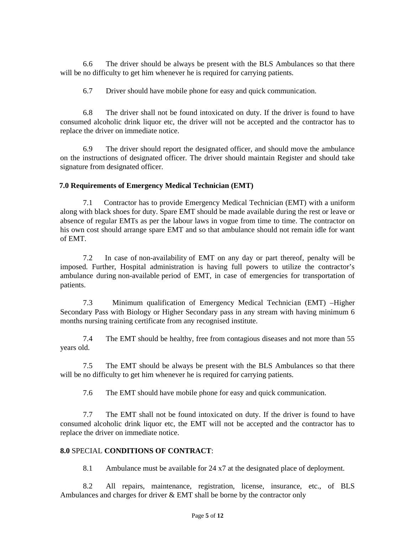6.6 The driver should be always be present with the BLS Ambulances so that there will be no difficulty to get him whenever he is required for carrying patients.

6.7 Driver should have mobile phone for easy and quick communication.

6.8 The driver shall not be found intoxicated on duty. If the driver is found to have consumed alcoholic drink liquor etc, the driver will not be accepted and the contractor has to replace the driver on immediate notice.

6.9 The driver should report the designated officer, and should move the ambulance on the instructions of designated officer. The driver should maintain Register and should take signature from designated officer.

# **7.0 Requirements of Emergency Medical Technician (EMT)**

7.1 Contractor has to provide Emergency Medical Technician (EMT) with a uniform along with black shoes for duty. Spare EMT should be made available during the rest or leave or absence of regular EMTs as per the labour laws in vogue from time to time. The contractor on his own cost should arrange spare EMT and so that ambulance should not remain idle for want of EMT.

7.2 In case of non-availability of EMT on any day or part thereof, penalty will be imposed. Further, Hospital administration is having full powers to utilize the contractor's ambulance during non-available period of EMT, in case of emergencies for transportation of patients.

7.3 Minimum qualification of Emergency Medical Technician (EMT) –Higher Secondary Pass with Biology or Higher Secondary pass in any stream with having minimum 6 months nursing training certificate from any recognised institute.

7.4 The EMT should be healthy, free from contagious diseases and not more than 55 years old.

7.5 The EMT should be always be present with the BLS Ambulances so that there will be no difficulty to get him whenever he is required for carrying patients.

7.6 The EMT should have mobile phone for easy and quick communication.

7.7 The EMT shall not be found intoxicated on duty. If the driver is found to have consumed alcoholic drink liquor etc, the EMT will not be accepted and the contractor has to replace the driver on immediate notice.

# **8.0** SPECIAL **CONDITIONS OF CONTRACT**:

8.1 Ambulance must be available for 24 x7 at the designated place of deployment.

8.2 All repairs, maintenance, registration, license, insurance, etc., of BLS Ambulances and charges for driver & EMT shall be borne by the contractor only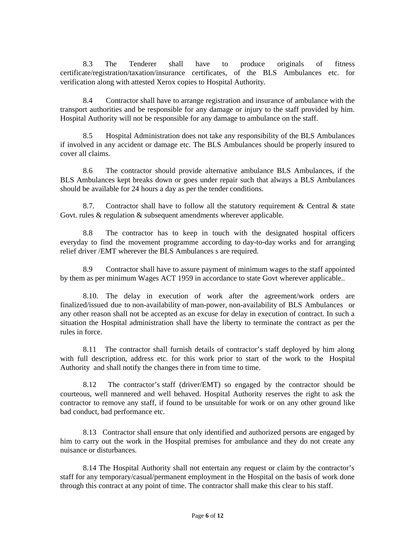8.3 The Tenderer shall have to produce originals of fitness certificate/registration/taxation/insurance certificates, of the BLS Ambulances etc. for verification along with attested Xerox copies to Hospital Authority.

8.4 Contractor shall have to arrange registration and insurance of ambulance with the transport authorities and be responsible for any damage or injury to the staff provided by him. Hospital Authority will not be responsible for any damage to ambulance on the staff.

8.5 Hospital Administration does not take any responsibility of the BLS Ambulances if involved in any accident or damage etc. The BLS Ambulances should be properly insured to cover all claims.

8.6 The contractor should provide alternative ambulance BLS Ambulances, if the BLS Ambulances kept breaks down or goes under repair such that always a BLS Ambulances should be available for 24 hours a day as per the tender conditions.

8.7. Contractor shall have to follow all the statutory requirement & Central & state Govt. rules & regulation & subsequent amendments wherever applicable.

8.8 The contractor has to keep in touch with the designated hospital officers everyday to find the movement programme according to day-to-day works and for arranging relief driver /EMT wherever the BLS Ambulances s are required.

8.9 Contractor shall have to assure payment of minimum wages to the staff appointed by them as per minimum Wages ACT 1959 in accordance to state Govt wherever applicable..

8.10. The delay in execution of work after the agreement/work orders are finalized/issued due to non-availability of man-power, non-availability of BLS Ambulances or any other reason shall not be accepted as an excuse for delay in execution of contract. In such a situation the Hospital administration shall have the liberty to terminate the contract as per the rules in force.

8.11 The contractor shall furnish details of contractor's staff deployed by him along with full description, address etc. for this work prior to start of the work to the Hospital Authority and shall notify the changes there in from time to time.

8.12 The contractor's staff (driver/EMT) so engaged by the contractor should be courteous, well mannered and well behaved. Hospital Authority reserves the right to ask the contractor to remove any staff, if found to be unsuitable for work or on any other ground like bad conduct, bad performance etc.

8.13 Contractor shall ensure that only identified and authorized persons are engaged by him to carry out the work in the Hospital premises for ambulance and they do not create any nuisance or disturbances.

8.14 The Hospital Authority shall not entertain any request or claim by the contractor's staff for any temporary/casual/permanent employment in the Hospital on the basis of work done through this contract at any point of time. The contractor shall make this clear to his staff.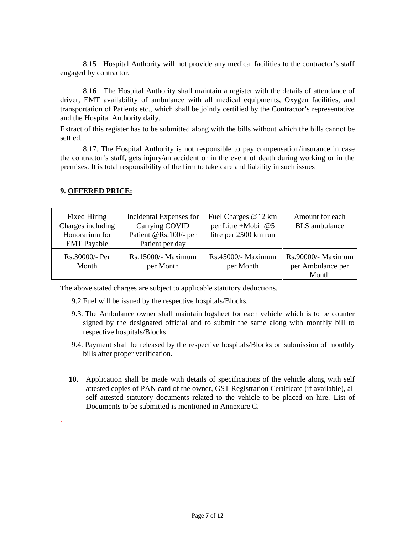8.15 Hospital Authority will not provide any medical facilities to the contractor's staff engaged by contractor.

8.16 The Hospital Authority shall maintain a register with the details of attendance of driver, EMT availability of ambulance with all medical equipments, Oxygen facilities, and transportation of Patients etc., which shall be jointly certified by the Contractor's representative and the Hospital Authority daily.

Extract of this register has to be submitted along with the bills without which the bills cannot be settled.

8.17. The Hospital Authority is not responsible to pay compensation/insurance in case the contractor's staff, gets injury/an accident or in the event of death during working or in the premises. It is total responsibility of the firm to take care and liability in such issues

| Fixed Hiring<br>Charges including<br>Honorarium for<br><b>EMT</b> Payable | Incidental Expenses for<br>Carrying COVID<br>Patient @Rs.100/- per<br>Patient per day | Fuel Charges @12 km<br>per Litre + Mobil $@5$<br>litre per 2500 km run | Amount for each<br><b>BLS</b> ambulance            |
|---------------------------------------------------------------------------|---------------------------------------------------------------------------------------|------------------------------------------------------------------------|----------------------------------------------------|
| Rs.30000/- Per<br>Month                                                   | $Rs.15000/-$ Maximum<br>per Month                                                     | Rs.45000/- Maximum<br>per Month                                        | $Rs.90000/-$ Maximum<br>per Ambulance per<br>Month |

#### **9. OFFERED PRICE:**

.

The above stated charges are subject to applicable statutory deductions.

9.2.Fuel will be issued by the respective hospitals/Blocks.

- 9.3. The Ambulance owner shall maintain logsheet for each vehicle which is to be counter signed by the designated official and to submit the same along with monthly bill to respective hospitals/Blocks.
- 9.4. Payment shall be released by the respective hospitals/Blocks on submission of monthly bills after proper verification.
- **10.** Application shall be made with details of specifications of the vehicle along with self attested copies of PAN card of the owner, GST Registration Certificate (if available), all self attested statutory documents related to the vehicle to be placed on hire. List of Documents to be submitted is mentioned in Annexure C.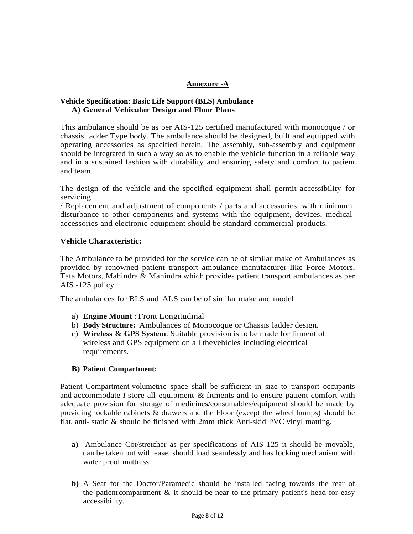## **Annexure -A**

#### **Vehicle Specification: Basic Life Support (BLS) Ambulance A) General Vehicular Design and Floor Plans**

This ambulance should be as per AIS-125 certified manufactured with monocoque / or chassis ladder Type body. The ambulance should be designed, built and equipped with operating accessories as specified herein. The assembly, sub-assembly and equipment should be integrated in such a way so as to enable the vehicle function in a reliable way and in a sustained fashion with durability and ensuring safety and comfort to patient and team.

The design of the vehicle and the specified equipment shall permit accessibility for servicing

/ Replacement and adjustment of components / parts and accessories, with minimum disturbance to other components and systems with the equipment, devices, medical accessories and electronic equipment should be standard commercial products.

#### **Vehicle Characteristic:**

The Ambulance to be provided for the service can be of similar make of Ambulances as provided by renowned patient transport ambulance manufacturer like Force Motors, Tata Motors, Mahindra & Mahindra which provides patient transport ambulances as per AIS -125 policy.

The ambulances for BLS and ALS can be of similar make and model

- a) **Engine Mount** : Front Longitudinal
- b) **Body Structure:** Ambulances of Monocoque or Chassis ladder design.
- c) **Wireless & GPS System**: Suitable provision is to be made for fitment of wireless and GPS equipment on all thevehicles including electrical requirements.

#### **B) Patient Compartment:**

Patient Compartment volumetric space shall be sufficient in size to transport occupants and accommodate *I* store all equipment & fitments and to ensure patient comfort with adequate provision for storage of medicines/consumables/equipment should be made by providing lockable cabinets & drawers and the Floor (except the wheel humps) should be flat, anti- static & should be finished with 2mm thick Anti-skid PVC vinyl matting.

- **a)** Ambulance Cot/stretcher as per specifications of AIS 125 it should be movable, can be taken out with ease, should load seamlessly and has locking mechanism with water proof mattress.
- **b)** A Seat for the Doctor/Paramedic should be installed facing towards the rear of the patient compartment  $\&$  it should be near to the primary patient's head for easy accessibility.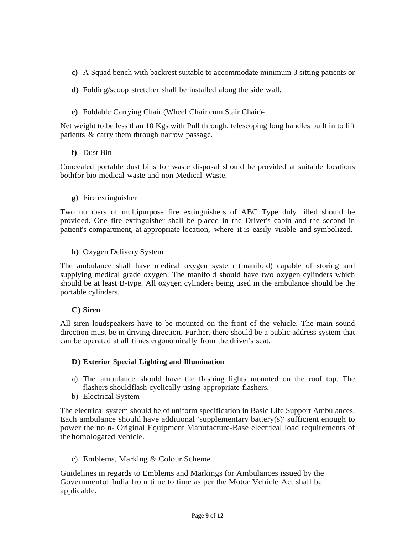- **c)** A Squad bench with backrest suitable to accommodate minimum 3 sitting patients or
- **d)** Folding/scoop stretcher shall be installed along the side wall.
- **e)** Foldable Carrying Chair (Wheel Chair cum Stair Chair)-

Net weight to be less than 10 Kgs with Pull through, telescoping long handles built in to lift patients & carry them through narrow passage.

## **f)** Dust Bin

Concealed portable dust bins for waste disposal should be provided at suitable locations bothfor bio-medical waste and non-Medical Waste.

## **g)** Fire extinguisher

Two numbers of multipurpose fire extinguishers of ABC Type duly filled should be provided. One fire extinguisher shall be placed in the Driver's cabin and the second in patient's compartment, at appropriate location, where it is easily visible and symbolized.

## **h)** Oxygen Delivery System

The ambulance shall have medical oxygen system (manifold) capable of storing and supplying medical grade oxygen. The manifold should have two oxygen cylinders which should be at least B-type. All oxygen cylinders being used in the ambulance should be the portable cylinders.

# **C) Siren**

All siren loudspeakers have to be mounted on the front of the vehicle. The main sound direction must be in driving direction. Further, there should be a public address system that can be operated at all times ergonomically from the driver's seat.

# **D) Exterior Special Lighting and Illumination**

- a) The ambulance should have the flashing lights mounted on the roof top. The flashers shouldflash cyclically using appropriate flashers.
- b) Electrical System

The electrical system should be of uniform specification in Basic Life Support Ambulances. Each ambulance should have additional 'supplementary battery(s)' sufficient enough to power the no n- Original Equipment Manufacture-Base electrical load requirements of the homologated vehicle.

c) Emblems, Marking & Colour Scheme

Guidelines in regards to Emblems and Markings for Ambulances issued by the Governmentof India from time to time as per the Motor Vehicle Act shall be applicable.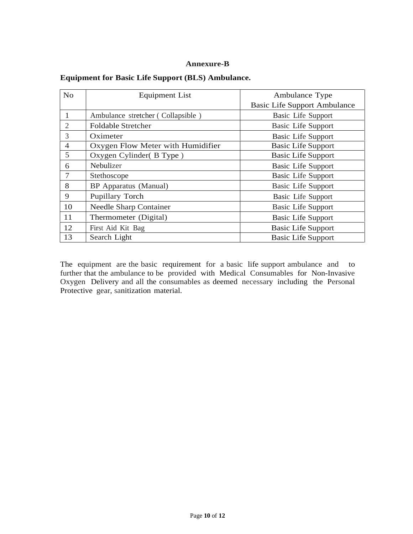#### **Annexure-B**

| N <sub>o</sub> | <b>Equipment List</b>             | Ambulance Type                      |
|----------------|-----------------------------------|-------------------------------------|
|                |                                   | <b>Basic Life Support Ambulance</b> |
|                | Ambulance stretcher (Collapsible) | Basic Life Support                  |
| $\overline{2}$ | <b>Foldable Stretcher</b>         | Basic Life Support                  |
| 3              | Oximeter                          | <b>Basic Life Support</b>           |
| $\overline{4}$ | Oxygen Flow Meter with Humidifier | <b>Basic Life Support</b>           |
| 5              | Oxygen Cylinder(B Type)           | <b>Basic Life Support</b>           |
| 6              | Nebulizer                         | <b>Basic Life Support</b>           |
| 7              | Stethoscope                       | Basic Life Support                  |
| 8              | BP Apparatus (Manual)             | <b>Basic Life Support</b>           |
| 9              | Pupillary Torch                   | Basic Life Support                  |
| 10             | <b>Needle Sharp Container</b>     | <b>Basic Life Support</b>           |
| 11             | Thermometer (Digital)             | <b>Basic Life Support</b>           |
| 12             | First Aid Kit Bag                 | <b>Basic Life Support</b>           |
| 13             | Search Light                      | <b>Basic Life Support</b>           |

## **Equipment for Basic Life Support (BLS) Ambulance.**

The equipment are the basic requirement for a basic life support ambulance and to further that the ambulance to be provided with Medical Consumables for Non-Invasive Oxygen Delivery and all the consumables as deemed necessary including the Personal Protective gear, sanitization material.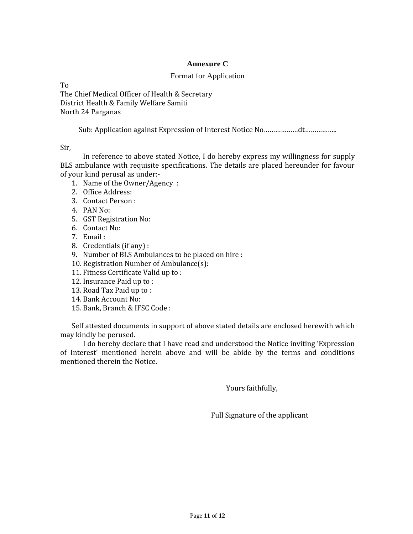## **Annexure C**

#### Format for Application

To

The Chief Medical Officer of Health & Secretary District Health & Family Welfare Samiti North 24 Parganas

Sub: Application against Expression of Interest Notice No………………dt……………..

Sir,

In reference to above stated Notice, I do hereby express my willingness for supply BLS ambulance with requisite specifications. The details are placed hereunder for favour of your kind perusal as under:-

- 1. Name of the Owner/Agency :
- 2. Office Address:
- 3. Contact Person :
- 4. PAN No:
- 5. GST Registration No:
- 6. Contact No:
- 7. Email :
- 8. Credentials (if any) :
- 9. Number of BLS Ambulances to be placed on hire :
- 10. Registration Number of Ambulance(s):
- 11. Fitness Certificate Valid up to :
- 12. Insurance Paid up to :
- 13. Road Tax Paid up to :
- 14. Bank Account No:
- 15. Bank, Branch & IFSC Code :

Self attested documents in support of above stated details are enclosed herewith which may kindly be perused.

I do hereby declare that I have read and understood the Notice inviting 'Expression of Interest' mentioned herein above and will be abide by the terms and conditions mentioned therein the Notice.

Yours faithfully,

Full Signature of the applicant